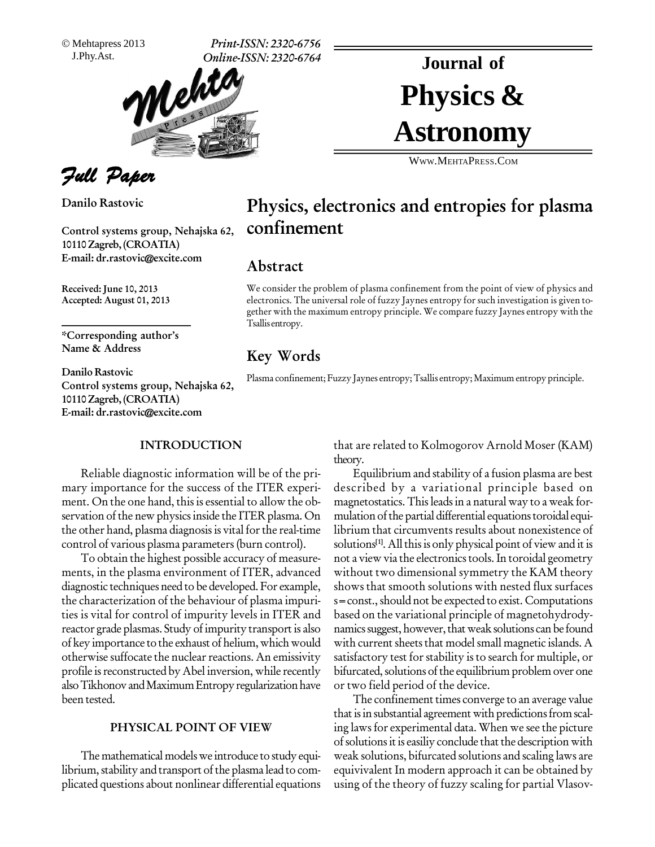Mehtapress 2013

J.Phy.Ast. **Print-ISSN: 2320-6756 Online-ISSN: 2320-6764**



Full Paper

**Danilo Rastovic**

**Control systems group, Nehajska 62, 10110Zagreb, (CROATIA) E-mail: [dr.rastovic@excite.com](mailto:dr.rastovic@excite.com)**

**Received: June 10, 2013 Accepted: August 01, 2013**

**\*Corresponding authorís Name & Address**

**Danilo Rastovic Control systems group, Nehajska 62, 10110Zagreb, (CROATIA) E-mail: [dr.rastovic@excite.com](mailto:dr.rastovic@excite.com)**

#### **INTRODUCTION**

Reliable diagnostic information will be of the pri mary importance for the success of the ITER experi ment. On the one hand, this is essential to allow the observation of the new physics inside the ITER plasma. On the other hand, plasma diagnosis is vital for the real-time control of various plasma parameters(burn control).

To obtain the highest possible accuracy of measure ments, in the plasma environment of ITER, advanced diagnostic techniques need to be developed. For example, the characterization of the behaviour of plasma impuri ties is vital for control of impurity levels in ITER and reactor grade plasmas. Study of impurity transport is also of key importance to the exhaust of helium, which would otherwise suffocate the nuclear reactions. An emissivity profile is reconstructed by Abel inversion, while recently also Tikhonov and Maximum Entropy regularization have been tested.

#### **PHYSICAL POINT OF VIEW**

The mathematical models we introduce to study equilibrium, stability and transport of the plasma lead to complicated questions about nonlinear differential equations

# Physics & **Journal of Astronomy**

WWW.M[EHTA](http://WWW.MEHTAPRESS.COM)PRESS.COM

# **Physics, electronics and entropies for plasma confinement**

### **Abstract**

We consider the problem of plasma confinement from the point of view of physics and electronics. The universal role of fuzzy Jaynes entropy for such investigation is given to gether with the maximum entropy principle. We compare fuzzy Jaynes entropy with the Tsallis entropy.

## **Key Words**

Plasma confinement;Fuzzy Jaynes entropy;Tsallis entropy; Maximum entropy principle.

that are related to Kolmogorov Arnold Moser (KAM) theory.

Equilibrium and stability of a fusion plasma are best described by a variational principle based on magnetostatics.Thisleadsin a natural way to a weak for mulation of the partial differential equations toroidal equilibrium that circumvents results about nonexistence of solutions<sup>[1]</sup>. All this is only physical point of view and it is not a view via the electronics tools. In toroidal geometry without two dimensional symmetry the KAM theory shows that smooth solutions with nested flux surfaces s = const., should not be expected to exist. Computations based on the variational principle of magnetohydrody namics suggest, however, that weak solutions can be found with current sheets that model small magnetic islands. A satisfactory test for stability is to search for multiple, or bifurcated, solutions of the equilibrium problem over one or two field period of the device.

The confinement times converge to an average value that is in substantial agreement with predictions from scaling lawsfor experimental data. When we see the picture of solutions it is easiliy conclude that the description with weak solutions, bifurcated solutions and scaling laws are equivivalent In modern approach it can be obtained by using of the theory of fuzzy scaling for partial Vlasov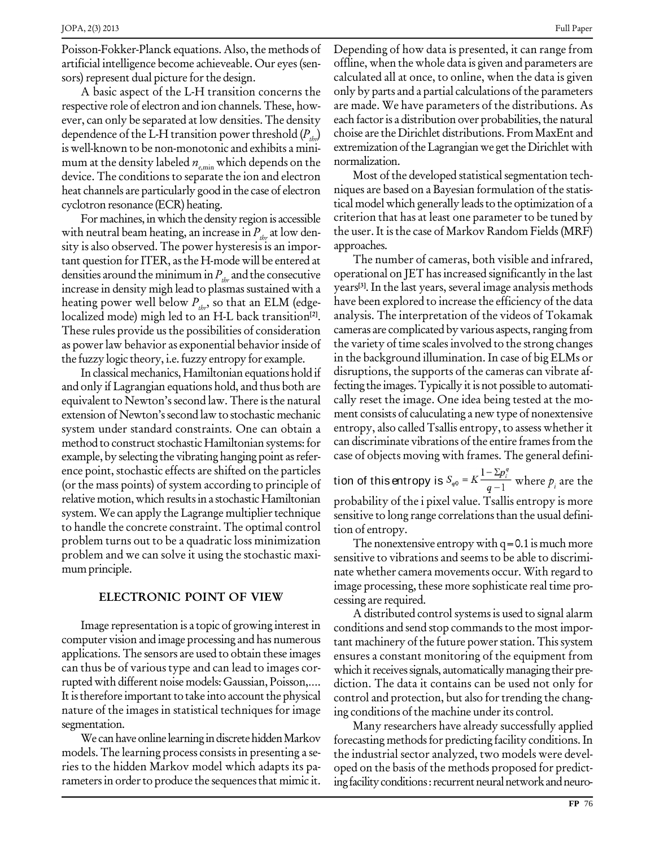Poisson-Fokker-Planck equations. Also, the methods of artificial intelligence become achieveable. Our eyes(sen sors) represent dual picture for the design.

A basic aspect of the L-H transition concerns the respective role of electron and ion channels.These, how ever, can only be separated at low densities. The density dependence of the L-H transition power threshold  $(P_{thr})$ is well-known to be non-monotonic and exhibits a mini mum at the density labeled  $n_{\text{e,min}}$  which depends on the device. The conditions to separate the ion and electron heat channels are particularly good in the case of electron cyclotron resonance (ECR) heating.

For machines, in which the density region is accessible with neutral beam heating, an increase in  $P_{thr}$  at low density is also observed. The power hysteresis is an important question forITER, asthe H-mode will be entered at densities around the minimum in  $P_{\text{thr}}$  and the consecutive increase in density migh lead to plasmas sustained with a heating power well below  $P_{\text{thr}}$ , so that an ELM (edgelocalized mode) migh led to an H-L back transition<sup>[2]</sup>. These rules provide us the possibilities of consideration as power law behavior as exponential behavior inside of the fuzzy logic theory, i.e.fuzzy entropy for example.

In classical mechanics, Hamiltonian equations hold if and only if Lagrangian equations hold, and thus both are equivalent to Newton's second law. There is the natural extension of Newton's second law to stochastic mechanic system under standard constraints. One can obtain a method to construct stochastic Hamiltonian systems: for example, by selecting the vibrating hanging point as reference point, stochastic effects are shifted on the particles (or the mass points) of system according to principle of relative motion, which results in a stochastic Hamiltonian system. We can apply the Lagrange multiplier technique to handle the concrete constraint. The optimal control problem turns out to be a quadratic loss minimization problem and we can solve it using the stochastic maxi mum principle.

#### **ELECTRONIC POINT OF VIEW**

Image representation is a topic of growing interest in computer vision and image processing and has numerous applications.The sensors are used to obtain these images can thus be of various type and can lead to images cor rupted with different noise models: Gaussian, Poisson,.... It is therefore important to take into account the physical nature of the images in statistical techniques for image segmentation.

We can have online learning in discrete hidden Markov models. The learning process consistsin presenting <sup>a</sup> se-ries to the hidden Markov model which adapts its pa rameters in order to produce the sequences that mimic it. Depending of how data is presented, it can range from offline, when the whole data is given and parameters are calculated all at once, to online, when the data is given only by parts and a partial calculations of the parameters are made. We have parameters of the distributions. As each factor is a distribution over probabilities, the natural choise are the Dirichlet distributions. FromMaxEnt and extremization of the Lagrangian we get the Dirichlet with normalization.

Most of the developed statistical segmentation techniques are based on a Bayesian formulation of the statis tical model which generally leads to the optimization of a criterion that has at least one parameter to be tuned by the user. It is the case of Markov Random Fields (MRF) approaches.

The number of cameras, both visible and infrared, operational on JEThasincreased significantly in the last years **[3]**. In the last years, several image analysis methods have been explored to increase the efficiency of the data analysis. The interpretation of the videos of Tokamak cameras are complicated by various aspects, ranging from the variety of time scales involved to the strong changes in the background illumination. In case of big ELMs or disruptions, the supports of the cameras can vibrate af fecting the images. Typically it is not possible to automatically reset the image. One idea being tested at the mo ment consists of caluculating a new type of nonextensive entropy, also called Tsallis entropy, to assess whether it can discriminate vibrations of the entire frames from the case of objects moving with frames. The general defini-

tion of this entropy is  $S_{q0} = K \frac{1 - \sum p_i^q}{q - 1}$  where  $p_i$  are the probability of the i pixel value. Tsallis entropy is more sensitive to long range correlationsthan the usual defini tion of entropy.

The nonextensive entropy with  $q=0.1$  is much more sensitive to vibrations and seems to be able to discrimi nate whether camera movements occur. With regard to image processing, these more sophisticate real time pro cessing are required.

A distributed control systems is used to signal alarm conditions and send stop commands to the most important machinery of the future power station. This system ensures a constant monitoring of the equipment from which it receives signals, automatically managing their prediction. The data it contains can be used not only for control and protection, but also for trending the changing conditions of the machine under its control.

Many researchers have already successfully applied forecasting methods for predicting facility conditions. In the industrial sector analyzed, two models were devel oped on the basis of the methods proposed for predict ing facility conditions: recurrent neural network and neuro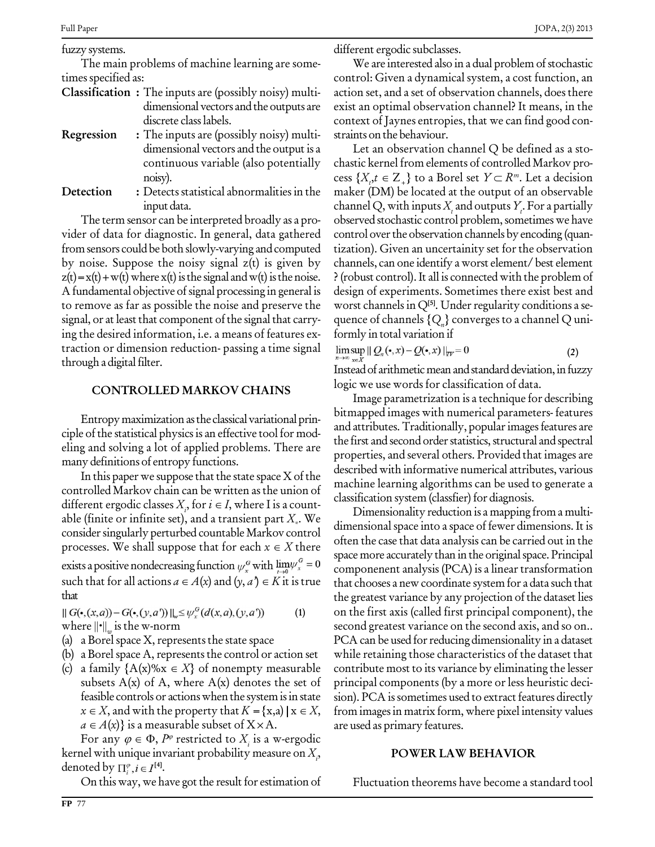fuzzy systems.

The main problems of machine learning are some times specified as:

- **Classification :** The inputs are (possibly noisy) multi dimensional vectors and the outputs are discrete classlabels.
- **Regression** : The inputs are (possibly noisy) multi- straints on the behaviour. dimensional vectors and the output is a continuous variable (also potentially noisy).
- **Detection :** Detects statistical abnormalities in the input data.

The term sensor can be interpreted broadly as a pro vider of data for diagnostic. In general, data gathered from sensors could be both slowly-varying and computed by noise. Suppose the noisy signal  $z(t)$  is given by  $z(t) = x(t) + w(t)$  where  $x(t)$  is the signal and  $w(t)$  is the noise. A fundamental objective of signal processing in general is to remove as far as possible the noise and preserve the signal, or at least that component of the signal that carrying the desired information, i.e. a means of features ex- formly in total variation if traction or dimension reduction- passing a time signal through a digital filter.

#### **CONTROLLED MARKOV CHAINS**

Entropy maximization as the classical variational principle of the statistical physics is an effective tool for modeling and solving a lot of applied problems. There are many definitions of entropy functions.

In this paper we suppose that the state space  $X$  of the controlled Markov chain can be written as the union of different ergodic classes  $X_i$ , for  $i \in I$ , where I is a countable (finite or infinite set), and a transient part  $X_{*}$ . We consider singularly perturbed countable Markov control processes. We shall suppose that for each  $x \in X$  there exists a positive nondecreasing function  $\psi_x^G$  with  $\lim_{t\to 0} \psi_x^G = 0$ processes. We shall suppose that for each  $x \in A$  there<br>exists a positive nondecreasing function  $\psi_x^G$  with  $\lim_{t \to 0} \psi_x^G = 0$  comp<br>such that for all actions  $a \in A(x)$  and  $(y, a^*) \in K$  it is true that c that

**(1)**  $|| G(\bullet,(x,a)) - G(\bullet,(y,a'))||_{w} \leq \psi_x^G(d(x,a),(y,a'))$ where  $\|\cdot\|_{\infty}$  is the w-norm

- (a) a Borel space  $X$ , represents the state space
- (b) a Borel space A, represents the control or action set
- (c) a family  ${A(x)$ %x  $\in$  X} of nonempty measurable subsets  $A(x)$  of A, where  $A(x)$  denotes the set of feasible controls or actions when the system is in state subsets A(x) of A, where A(x) denotes the set of princip<br>feasible controls or actions when the system is in state sion). P<br> $x \in X$ , and with the property that  $K = \{x,a) | x \in X$ , from in feasible controls or actions when the system is in  $x \in X$ , and with the property that  $K = \{x,a) | x \in A(x)\}$  is a measurable subset of  $X \times A$ .  $x \in X$ , and with the property<br>  $a \in A(x)$  is a measurable sub<br>
For any  $\varphi \in \Phi$ ,  $P^{\varphi}$  restricte

For any  $\varphi \in \Phi$ ,  $P^{\varphi}$  restricted to  $X_i$  is a w-ergodic kernel with unique invariant probability measure on  $X_{i}$ , denoted by  $\prod_{i=1}^{\infty}$ ,  $i \in I^{[4]}$ .

On thisway, we have got the result for estimation of

different ergodic subclasses.

We are interested also in a dual problem of stochastic control: Given a dynamical system, a cost function, an action set, and aset of observation channels, does there exist an optimal observation channel? It means, in the context of Jaynes entropies, that we can find good con-

Let an observation channel Q be defined as a sto chastic kernel from elements of controlled Markov pro- Let an observation channel Q be defined as a stochastic kernel from elements of controlled Markov process  $\{X_i, t \in Z_+\}$  to a Borel set  $Y \subset R^m$ . Let a decision maker (DM) be located at the output of an observable channel Q, with inputs  $X_t$  and outputs  $Y_t$ . For a partially observed stochastic control problem, sometimes we have control over the observation channels by encoding (quantization). Given an uncertainity set forthe observation channels, can one identify a worst element/ best element ?(robust control).It all is connected with the problem of design of experiments. Sometimes there exist best and worst channels in Q<sup>[5]</sup>. Under regularity conditions a sequence of channels  ${Q_n}$  converges to a channel Q uni-

$$
\limsup_{n\to\infty} \|\mathcal{Q}_n(\bullet,x) - \mathcal{Q}(\bullet,x)\|_{TV} = 0 \tag{2}
$$

Instead of arithmetic mean and standard deviation, in fuzzy logic we use words for classification of data.

Image parametrization is a technique for describing bitmapped images with numerical parameters- features and attributes. Traditionally, popular images features are the first and second order statistics, structural and spectral properties, and several others. Provided that images are described with informative numerical attributes, various machine learning algorithms can be used to generate a classification system (classfier) for diagnosis.

Dimensionality reduction is a mapping from a multi dimensional space into a space of fewer dimensions. It is often the case that data analysis can be carried out in the space more accurately than in the original space. Principal componenent analysis (PCA) is a linear transformation that chooses a new coordinate system for a data such that the greatest variance by any projection of the dataset lies on the first axis (called first principal component), the second greatest variance on the second axis, and so on.. PCA can be used for reducing dimensionality in a dataset while retaining those characteristics of the dataset that contribute most to its variance by eliminating the lesser principal components (by a more orless heuristic deci sion). PCA is sometimes used to extract features directly from imagesin matrix form, where pixel intensity values are used as primary features.

#### **POWER LAW BEHAVIOR**

Fluctuation theorems have become a standard tool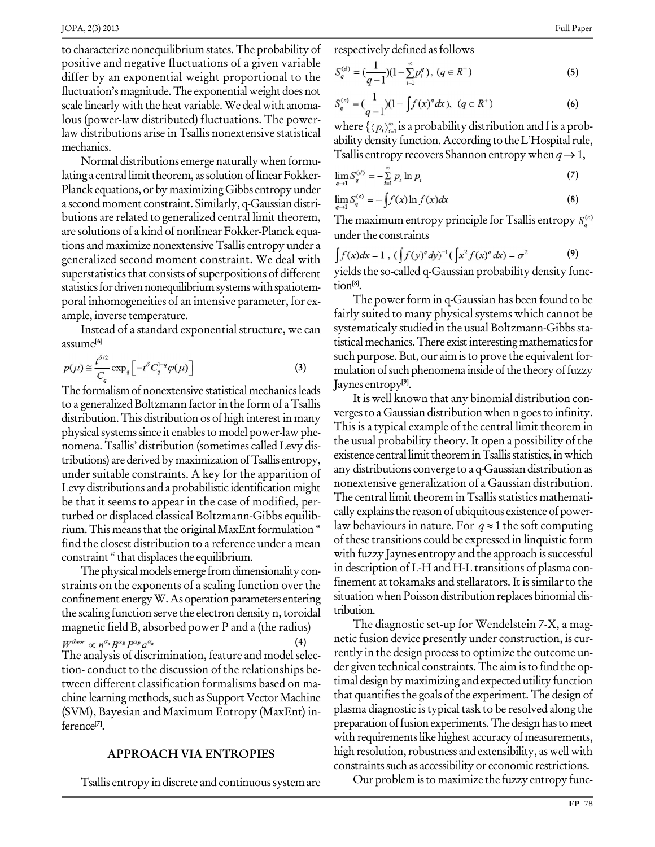to characterize nonequilibrium states. The probability of positive and negative fluctuations of a given variable differ by an exponential weight proportional to the fluctuation's magnitude. The exponential weight does not scale linearly with the heat variable. We deal with anomalous (power-law distributed) fluctuations. The powerlaw distributions arise in Tsallis nonextensive statistical mechanics.

Normal distributions emerge naturally when formulating a central limit theorem, as solution of linear Fokker-Planck equations, or by maximizing Gibbs entropy under a second moment constraint. Similarly, q-Gaussian distributions are related to generalized central limit theorem, are solutions of a kind of nonlinear Fokker-Planck equations and maximize nonextensive Tsallis entropy under a generalized second moment constraint. We deal with superstatistics that consists of superpositions of different statistics for driven nonequilibrium systems with spatiotemporal inhomogeneities of an intensive parameter, for example, inverse temperature.

Instead of a standard exponential structure, we can assume<sup>[6]</sup>

$$
p(\mu) \approx \frac{t^{\delta/2}}{C_q} \exp_q \left[ -t^{\delta} C_q^{1-q} \varphi(\mu) \right]
$$
 (3)

The formalism of nonextensive statistical mechanics leads to a generalized Boltzmann factor in the form of a Tsallis distribution. This distribution os of high interest in many physical systems since it enables to model power-law phenomena. Tsallis' distribution (sometimes called Levy distributions) are derived by maximization of Tsallis entropy, under suitable constraints. A key for the apparition of Levy distributions and a probabilistic identification might be that it seems to appear in the case of modified, perturbed or displaced classical Boltzmann-Gibbs equilibrium. This means that the original MaxEnt formulation " find the closest distribution to a reference under a mean constraint "that displaces the equilibrium.

The physical models emerge from dimensionality constraints on the exponents of a scaling function over the confinement energy W. As operation parameters entering the scaling function serve the electron density n, toroidal magnetic field B, absorbed power P and a (the radius)  $W^{theor} \propto n^{\alpha_n} B^{\alpha_B} P^{\alpha_p} a^{\alpha_a}$ The analysis of discrimination, feature and model selection-conduct to the discussion of the relationships between different classification formalisms based on machine learning methods, such as Support Vector Machine (SVM), Bayesian and Maximum Entropy (MaxEnt) inference<sup>[7]</sup>.

#### **APPROACH VIA ENTROPIES**

Tsallis entropy in discrete and continuous system are

respectively defined as follows

$$
S_q^{(d)} = \left(\frac{1}{q-1}\right)(1 - \sum_{i=1}^{\infty} p_i^d), \ (q \in R^+) \tag{5}
$$

$$
S_q^{(c)} = \left(\frac{1}{q-1}\right)(1 - \int f(x)^q dx), \ (q \in R^+) \tag{6}
$$

where  $\{\langle p_i \rangle_{i=1}^{\infty}$  is a probability distribution and f is a probability density function. According to the L'Hospital rule, Tsallis entropy recovers Shannon entropy when  $q \rightarrow 1$ ,

$$
\lim_{q \to 1} S_q^{(d)} = -\sum_{i=1}^{\infty} p_i \ln p_i \tag{7}
$$

$$
\lim_{q \to 1} S_q^{(c)} = -\int f(x) \ln f(x) dx \tag{8}
$$

The maximum entropy principle for Tsallis entropy  $S_a^{(c)}$ under the constraints

$$
\int f(x)dx = 1 \, , \, (\int f(y)^{q} dy)^{-1} (\int x^{2} f(x)^{q} dx) = \sigma^{2} \tag{9}
$$

yields the so-called q-Gaussian probability density function<sup>[8]</sup>.

The power form in q-Gaussian has been found to be fairly suited to many physical systems which cannot be systematicaly studied in the usual Boltzmann-Gibbs statistical mechanics. There exist interesting mathematics for such purpose. But, our aim is to prove the equivalent formulation of such phenomena inside of the theory of fuzzy Jaynes entropy<sup>[9]</sup>.

It is well known that any binomial distribution converges to a Gaussian distribution when n goes to infinity. This is a typical example of the central limit theorem in the usual probability theory. It open a possibility of the existence central limit theorem in Tsallis statistics, in which any distributions converge to a q-Gaussian distribution as nonextensive generalization of a Gaussian distribution. The central limit theorem in Tsallis statistics mathematically explains the reason of ubiquitous existence of powerlaw behaviours in nature. For  $q \approx 1$  the soft computing of these transitions could be expressed in linquistic form with fuzzy Jaynes entropy and the approach is successful in description of L-H and H-L transitions of plasma confinement at tokamaks and stellarators. It is similar to the situation when Poisson distribution replaces binomial distribution.

The diagnostic set-up for Wendelstein 7-X, a magnetic fusion device presently under construction, is currently in the design process to optimize the outcome under given technical constraints. The aim is to find the optimal design by maximizing and expected utility function that quantifies the goals of the experiment. The design of plasma diagnostic is typical task to be resolved along the preparation of fusion experiments. The design has to meet with requirements like highest accuracy of measurements, high resolution, robustness and extensibility, as well with constraints such as accessibility or economic restrictions.

Our problem is to maximize the fuzzy entropy func-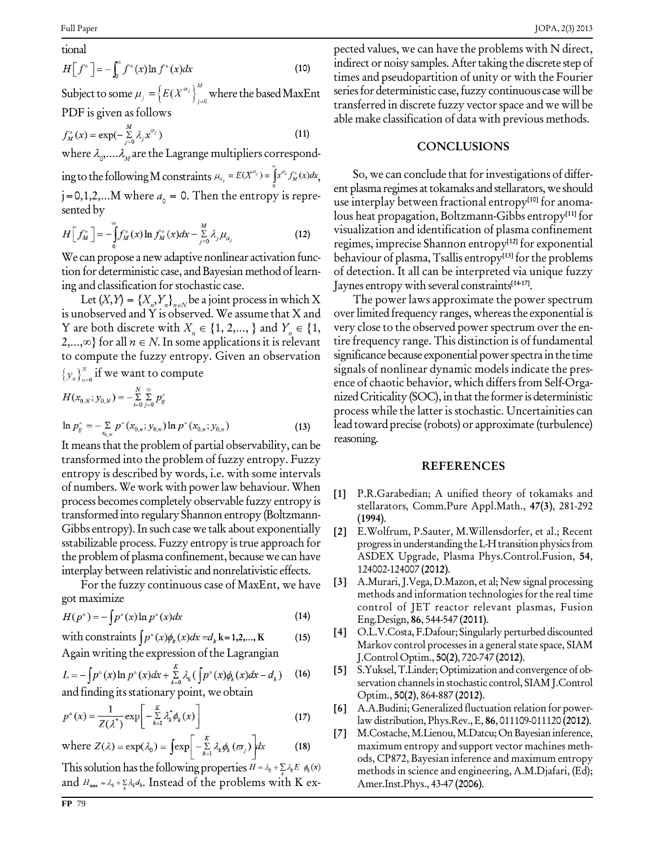tional  

$$
H[f^*] = -\int_0^\infty f^*(x) \ln f^*(x) dx \qquad (10)
$$

Subject to some  $\mu_j = \left\{ E(X^{\alpha_j}) \right\}_{i=0}^M$  where the based MaxEnt PDF is given as follows

$$
f_M^{\scriptscriptstyle\wedge}(x) = \exp(-\sum_{j=0}^{M} \lambda_j x^{\alpha_j})
$$
\n(11)

where  $\lambda_{_{\scriptscriptstyle O}},\dots\lambda_{_{\scriptscriptstyle M}}$  are the Lagrange multipliers correspond-

ing to the following M constraints  $\mu_{\alpha_j}=E(X^{\alpha_j})=\int x^{\alpha_j}f^*_{M}(x)dx$ j = 0,1,2,...M where  $a_0$  = 0. Then the entropy is repre-<br>sented by

$$
H\left[f_{M}^{\wedge}\right] = -\int_{0}^{\infty} f_{M}^{\wedge}(x) \ln f_{M}^{\wedge}(x) dx - \sum_{j=0}^{M} \lambda_{j} \mu_{\alpha_{j}}
$$
(12)

We can propose a new adaptive nonlinear activation func-<br>tion for deterministic case, and Bayesian method of learning and classification for stochastic case.

Let  $(X,Y) = \{X_n, Y_n\}_{n \in \mathbb{N}}$  be a joint process in which X The pc is unobserved and Y is observed. We assume that X and Y are both discrete with  $X_n \in \{1, 2,..., \}$  and  $Y_n \in \{1, 2,..., \infty\}$  for all  $n \in N$ . In some applications it is relevant to compute the fuzzy entropy. Given an observation  $\{y_n\}_{n=0}^N$  if we want to compute

$$
H(x_{0,N}; y_{0,N}) = -\sum_{i=0}^{N} \sum_{j=0}^{\infty} p_{ij}^{\wedge}
$$
  

$$
\ln p_{ij}^{\wedge} = -\sum_{x_{0,N}} p^{\wedge} (x_{0,n}; y_{0,n}) \ln p^{\wedge} (x_{0,n}; y_{0,n})
$$
 (13)

It means that the problem of partial observability, can be transformed into the problem of fuzzy entropy. Fuzzy entropy is described by words, i.e. with some intervals of numbers. We work with power law behaviour. When  $\begin{bmatrix} 1 \end{bmatrix}$ process becomes completely observable fuzzy entropy is transformed into regulary Shannon entropy (Boltzmann- Gibbs entropy).In such case we talk about exponentially sstabilizable process. Fuzzy entropy istrue approach for the problem of plasma confinement, because we can have interplay between relativistic and nonrelativistic effects.

For the fuzzy continuous case of MaxEnt, we have [3] got maximize

$$
H(p^*) = -\int p^*(x) \ln p^*(x) dx \tag{14}
$$

with constraints 
$$
\int p^*(x)\phi_k(x)dx = d_k \mathbf{k} = 1, 2, ..., \mathbf{K}
$$
 (15)

Again writing the expression of the Lagrangian

$$
L = -\int p^*(x) \ln p^*(x) dx + \sum_{k=0}^{K} \lambda_k \left( \int p^*(x) \phi_k(x) dx - d_k \right)
$$
 (16)  
and finding its stationary point, we obtain

$$
p^{\circ}(x) = \frac{1}{Z(\lambda^*)} \exp\left[-\sum_{k=1}^{K} \lambda_k^* \phi_k(x)\right]
$$
 (17)

where 
$$
Z(\lambda) = \exp(\lambda_0) = \int \exp\left[-\sum_{k=1}^{K} \lambda_k \phi_k(\varpi_j)\right] dx
$$
 (18)

This solution has the following properties  $H = \lambda_0 + \sum_k \lambda_k E \phi_k(x)$ and  $H_{\text{max}} = \lambda_0 + \sum_k \lambda_k d_k$ . Instead of the problems with K expected values, we can have the problems with N direct, indirect or noisy samples. After taking the discrete step of times and pseudopartition of unity or with the Fourier series for deterministic case, fuzzy continuous case will be transferred in discrete fuzzy vector space and we will be able make classification of data with previous methods.

#### **CONCLUSIONS**

So, we can conclude that for investigations of different plasma regimes at tokamaks and stellarators, we should use interplay between fractional entropy **[10]** for anoma lous heat propagation, Boltzmann-Gibbs entropy **[11]** for visualization and identification of plasma confinement regimes, imprecise Shannon entropy **[12]** for exponential behaviour of plasma,Tsallis entropy **[13]** forthe problems of detection. It all can be interpreted via unique fuzzy Jaynes entropywith several constraints **[14-17]**.

The power laws approximate the power spectrum over limited frequency ranges, whereas the exponential is very close to the observed power spectrum over the entire frequency range. This distinction is of fundamental significance because exponential power spectra in the time signals of nonlinear dynamic models indicate the pres ence of chaotic behavior, which differs from Self-Orga nized Criticality (SOC), in that the former is deterministic process while the latter is stochastic. Uncertainities can lead toward precise (robots) or approximate (turbulence) reasoning.

#### **REFERENCES**

- **[1]** P.R.Garabedian; A unified theory of tokamaks and stellarators, Comm.Pure Appl.Math., **47(3)**, 281-292 **(1994)**.
- **[2]** E.Wolfrum, P.Sauter, M.Willensdorfer, et al.; Recent progress in understanding the L-H transition physics from ASDEX Upgrade, Plasma Phys.Control.Fusion, **54**, 124002-124007 **(2012)**.
- **[3]** A.Murari,J.Vega,D.Mazon, et al; New signal processing methods and information technologies forthe real time control of JET reactor relevant plasmas, Fusion Eng.Design, **86**, 544-547 **(2011)**.
- **[4]** O.L.V.Costa, F.Dafour; Singularly perturbed discounted Markov control processes in a general state space, SIAM J.Control Optim., **50(2)**, 720-747 **(2012)**.
- **[5]** S.Yuksel,T.Linder;Optimizationand convergence of ob servation channels in stochastic control, SIAM J.Control Optim., **50(2)**, 864-887 **(2012)**.
- **[6]** A.A.Budini; Generalized fluctuation relation for power lawdistribution, Phys.Rev.,E, **86**, 011109-011120 **(2012)**.
- **[7]** M.Costache,M.Lienou,M.Datcu;OnBayesian inference, maximum entropy and support vector machines meth ods, CP872, Bayesian inference and maximum entropy methods in science and engineering, A.M.Djafari, (Ed); Amer.Inst.Phys., 43-47 **(2006)**.